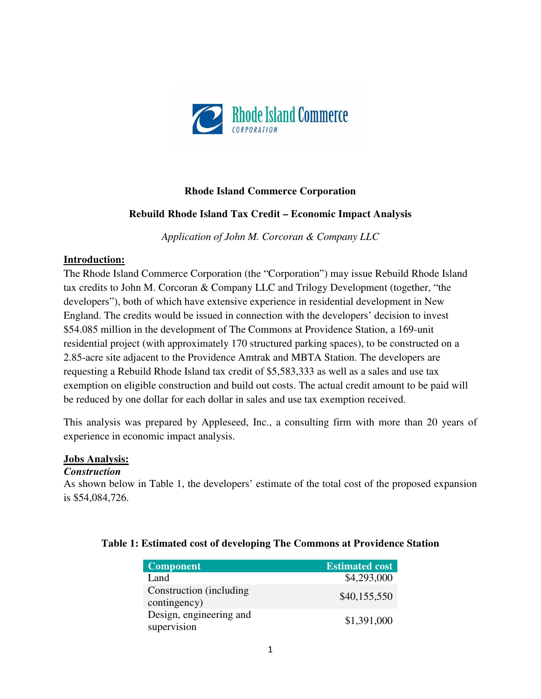

## **Rhode Island Commerce Corporation**

### **Rebuild Rhode Island Tax Credit – Economic Impact Analysis**

*Application of John M. Corcoran & Company LLC* 

#### **Introduction:**

The Rhode Island Commerce Corporation (the "Corporation") may issue Rebuild Rhode Island tax credits to John M. Corcoran & Company LLC and Trilogy Development (together, "the developers"), both of which have extensive experience in residential development in New England. The credits would be issued in connection with the developers' decision to invest \$54.085 million in the development of The Commons at Providence Station, a 169-unit residential project (with approximately 170 structured parking spaces), to be constructed on a 2.85-acre site adjacent to the Providence Amtrak and MBTA Station. The developers are requesting a Rebuild Rhode Island tax credit of \$5,583,333 as well as a sales and use tax exemption on eligible construction and build out costs. The actual credit amount to be paid will be reduced by one dollar for each dollar in sales and use tax exemption received.

This analysis was prepared by Appleseed, Inc., a consulting firm with more than 20 years of experience in economic impact analysis.

#### **Jobs Analysis:**

#### *Construction*

As shown below in Table 1, the developers' estimate of the total cost of the proposed expansion is \$54,084,726.

| Component <sup>'</sup>                   | <b>Estimated cost</b> |
|------------------------------------------|-----------------------|
| Land                                     | \$4,293,000           |
| Construction (including)<br>contingency) | \$40,155,550          |
| Design, engineering and<br>supervision   | \$1,391,000           |

#### **Table 1: Estimated cost of developing The Commons at Providence Station**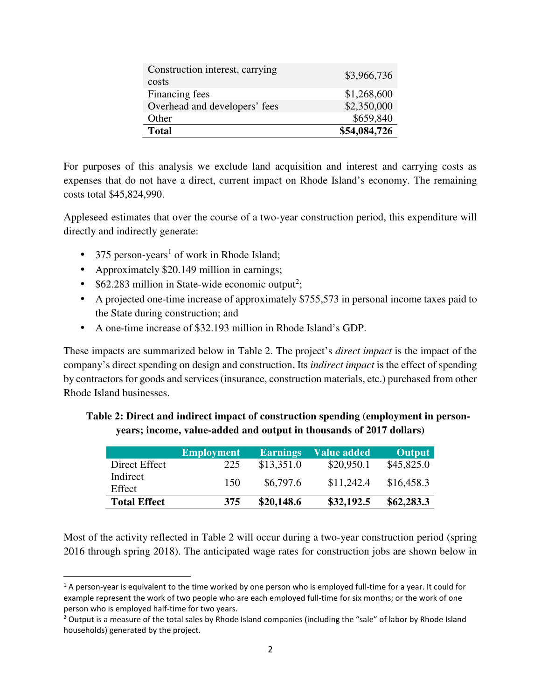| Construction interest, carrying<br>costs | \$3,966,736  |
|------------------------------------------|--------------|
| Financing fees                           | \$1,268,600  |
| Overhead and developers' fees            | \$2,350,000  |
| Other                                    | \$659,840    |
| <b>Total</b>                             | \$54,084,726 |

For purposes of this analysis we exclude land acquisition and interest and carrying costs as expenses that do not have a direct, current impact on Rhode Island's economy. The remaining costs total \$45,824,990.

Appleseed estimates that over the course of a two-year construction period, this expenditure will directly and indirectly generate:

- 375 person-years<sup>1</sup> of work in Rhode Island;
- Approximately \$20.149 million in earnings;

<u>.</u>

- $$62.283$  million in State-wide economic output<sup>2</sup>;
- A projected one-time increase of approximately \$755,573 in personal income taxes paid to the State during construction; and
- A one-time increase of \$32.193 million in Rhode Island's GDP.

These impacts are summarized below in Table 2. The project's *direct impact* is the impact of the company's direct spending on design and construction. Its *indirect impact* is the effect of spending by contractors for goods and services (insurance, construction materials, etc.) purchased from other Rhode Island businesses.

|                     | <b>Employment</b> | <b>Earnings</b> | <b>Value added</b> | <b>Output</b> |
|---------------------|-------------------|-----------------|--------------------|---------------|
| Direct Effect       | 225               | \$13,351.0      | \$20,950.1         | \$45,825.0    |
| Indirect<br>Effect  | 150               | \$6,797.6       | \$11,242.4         | \$16,458.3    |
| <b>Total Effect</b> | 375               | \$20,148.6      | \$32,192.5         | \$62,283.3    |

**Table 2: Direct and indirect impact of construction spending (employment in personyears; income, value-added and output in thousands of 2017 dollars)** 

Most of the activity reflected in Table 2 will occur during a two-year construction period (spring 2016 through spring 2018). The anticipated wage rates for construction jobs are shown below in

<sup>&</sup>lt;sup>1</sup> A person-year is equivalent to the time worked by one person who is employed full-time for a year. It could for example represent the work of two people who are each employed full-time for six months; or the work of one person who is employed half-time for two years.

<sup>&</sup>lt;sup>2</sup> Output is a measure of the total sales by Rhode Island companies (including the "sale" of labor by Rhode Island households) generated by the project.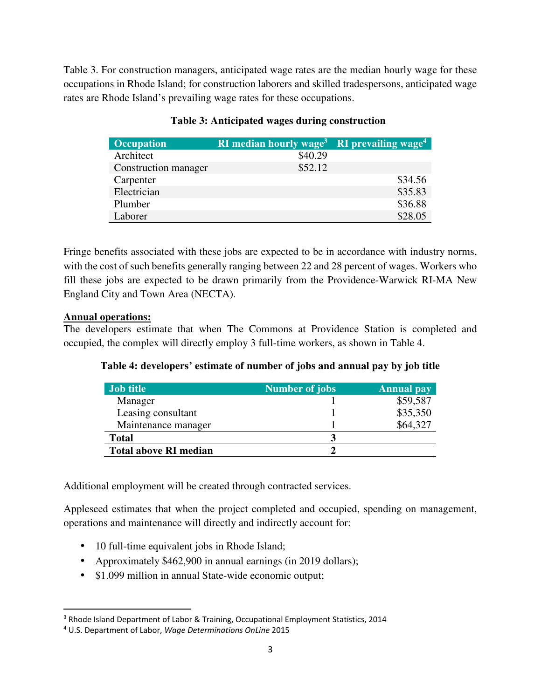Table 3. For construction managers, anticipated wage rates are the median hourly wage for these occupations in Rhode Island; for construction laborers and skilled tradespersons, anticipated wage rates are Rhode Island's prevailing wage rates for these occupations.

| <b>Occupation</b>    | <b>RI</b> median hourly wage <sup>3</sup> | <b>RI</b> prevailing wage <sup>4</sup> |
|----------------------|-------------------------------------------|----------------------------------------|
| Architect            | \$40.29                                   |                                        |
| Construction manager | \$52.12                                   |                                        |
| Carpenter            |                                           | \$34.56                                |
| Electrician          |                                           | \$35.83                                |
| Plumber              |                                           | \$36.88                                |
| Laborer              |                                           | \$28.05                                |

# **Table 3: Anticipated wages during construction**

Fringe benefits associated with these jobs are expected to be in accordance with industry norms, with the cost of such benefits generally ranging between 22 and 28 percent of wages. Workers who fill these jobs are expected to be drawn primarily from the Providence-Warwick RI-MA New England City and Town Area (NECTA).

## **Annual operations:**

<u>.</u>

The developers estimate that when The Commons at Providence Station is completed and occupied, the complex will directly employ 3 full-time workers, as shown in Table 4.

| Table 4: developers' estimate of number of jobs and annual pay by job title |  |  |  |  |  |  |
|-----------------------------------------------------------------------------|--|--|--|--|--|--|
|-----------------------------------------------------------------------------|--|--|--|--|--|--|

| Job title                    | Number of jobs | Annual pay |
|------------------------------|----------------|------------|
| Manager                      |                | \$59,587   |
| Leasing consultant           |                | \$35,350   |
| Maintenance manager          |                | \$64,327   |
| <b>Total</b>                 |                |            |
| <b>Total above RI median</b> |                |            |

Additional employment will be created through contracted services.

Appleseed estimates that when the project completed and occupied, spending on management, operations and maintenance will directly and indirectly account for:

- 10 full-time equivalent jobs in Rhode Island;
- Approximately \$462,900 in annual earnings (in 2019 dollars);
- \$1.099 million in annual State-wide economic output;

<sup>&</sup>lt;sup>3</sup> Rhode Island Department of Labor & Training, Occupational Employment Statistics, 2014

<sup>4</sup> U.S. Department of Labor, *Wage Determinations OnLine* 2015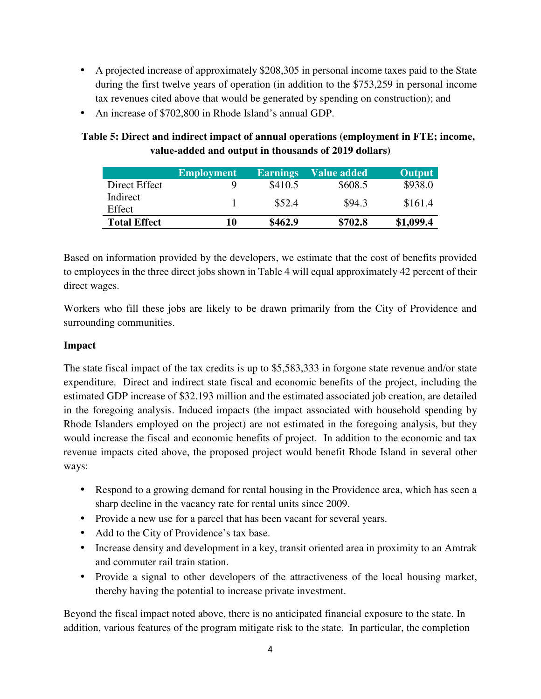- A projected increase of approximately \$208,305 in personal income taxes paid to the State during the first twelve years of operation (in addition to the \$753,259 in personal income tax revenues cited above that would be generated by spending on construction); and
- An increase of \$702,800 in Rhode Island's annual GDP.

|                     | <b>Employment</b> | <b>Earnings</b> | <b>Value added</b> | <b>Output</b> |
|---------------------|-------------------|-----------------|--------------------|---------------|
| Direct Effect       | Q                 | \$410.5         | \$608.5            | \$938.0       |
| Indirect<br>Effect  |                   | \$52.4          | \$94.3             | \$161.4       |
| <b>Total Effect</b> | 10                | \$462.9         | \$702.8            | \$1,099.4     |

**Table 5: Direct and indirect impact of annual operations (employment in FTE; income, value-added and output in thousands of 2019 dollars)**

Based on information provided by the developers, we estimate that the cost of benefits provided to employees in the three direct jobs shown in Table 4 will equal approximately 42 percent of their direct wages.

Workers who fill these jobs are likely to be drawn primarily from the City of Providence and surrounding communities.

## **Impact**

The state fiscal impact of the tax credits is up to \$5,583,333 in forgone state revenue and/or state expenditure. Direct and indirect state fiscal and economic benefits of the project, including the estimated GDP increase of \$32.193 million and the estimated associated job creation, are detailed in the foregoing analysis. Induced impacts (the impact associated with household spending by Rhode Islanders employed on the project) are not estimated in the foregoing analysis, but they would increase the fiscal and economic benefits of project. In addition to the economic and tax revenue impacts cited above, the proposed project would benefit Rhode Island in several other ways:

- Respond to a growing demand for rental housing in the Providence area, which has seen a sharp decline in the vacancy rate for rental units since 2009.
- Provide a new use for a parcel that has been vacant for several years.
- Add to the City of Providence's tax base.
- Increase density and development in a key, transit oriented area in proximity to an Amtrak and commuter rail train station.
- Provide a signal to other developers of the attractiveness of the local housing market, thereby having the potential to increase private investment.

Beyond the fiscal impact noted above, there is no anticipated financial exposure to the state. In addition, various features of the program mitigate risk to the state. In particular, the completion